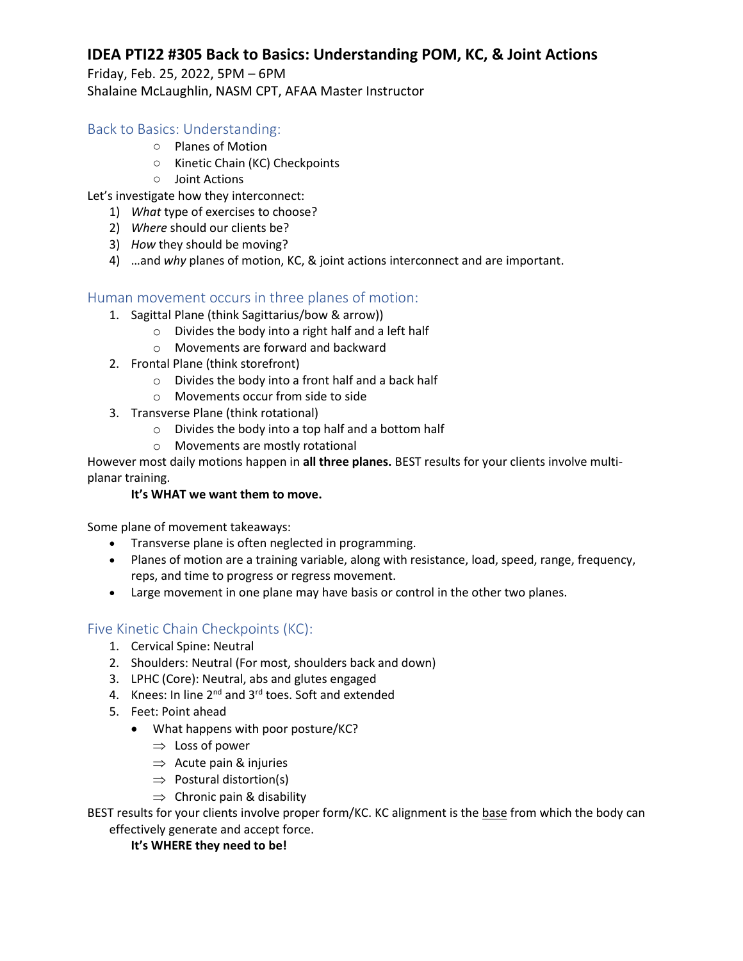## **IDEA PTI22 #305 Back to Basics: Understanding POM, KC, & Joint Actions**

Friday, Feb. 25, 2022, 5PM – 6PM Shalaine McLaughlin, NASM CPT, AFAA Master Instructor

## Back to Basics: Understanding:

- Planes of Motion
- Kinetic Chain (KC) Checkpoints
- Joint Actions
- Let's investigate how they interconnect:
	- 1) *What* type of exercises to choose?
	- 2) *Where* should our clients be?
	- 3) *How* they should be moving?
	- 4) …and *why* planes of motion, KC, & joint actions interconnect and are important.

## Human movement occurs in three planes of motion:

- 1. Sagittal Plane (think Sagittarius/bow & arrow))
	- o Divides the body into a right half and a left half
	- o Movements are forward and backward
- 2. Frontal Plane (think storefront)
	- o Divides the body into a front half and a back half
	- o Movements occur from side to side
- 3. Transverse Plane (think rotational)
	- o Divides the body into a top half and a bottom half
	- o Movements are mostly rotational

However most daily motions happen in **all three planes.** BEST results for your clients involve multiplanar training.

### **It's WHAT we want them to move.**

Some plane of movement takeaways:

- Transverse plane is often neglected in programming.
- Planes of motion are a training variable, along with resistance, load, speed, range, frequency, reps, and time to progress or regress movement.
- Large movement in one plane may have basis or control in the other two planes.

## Five Kinetic Chain Checkpoints (KC):

- 1. Cervical Spine: Neutral
- 2. Shoulders: Neutral (For most, shoulders back and down)
- 3. LPHC (Core): Neutral, abs and glutes engaged
- 4. Knees: In line 2<sup>nd</sup> and 3<sup>rd</sup> toes. Soft and extended
- 5. Feet: Point ahead
	- What happens with poor posture/KC?
		- $\Rightarrow$  Loss of power
		- $\Rightarrow$  Acute pain & injuries
		- $\Rightarrow$  Postural distortion(s)
		- $\Rightarrow$  Chronic pain & disability

BEST results for your clients involve proper form/KC. KC alignment is the base from which the body can effectively generate and accept force.

### **It's WHERE they need to be!**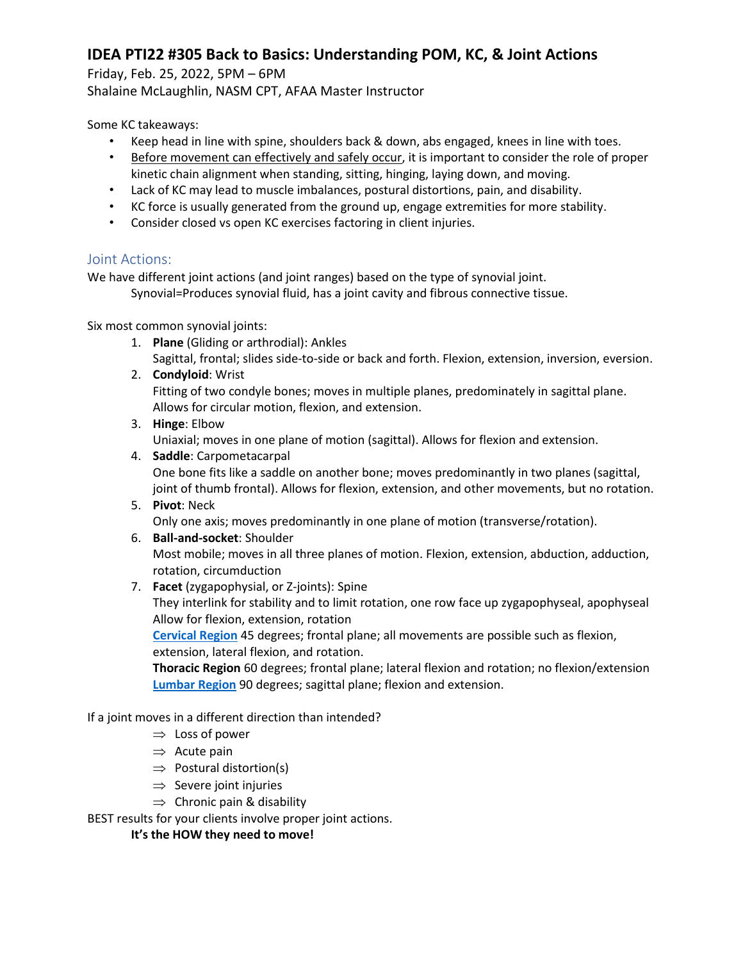# **IDEA PTI22 #305 Back to Basics: Understanding POM, KC, & Joint Actions**

Friday, Feb. 25, 2022, 5PM – 6PM

Shalaine McLaughlin, NASM CPT, AFAA Master Instructor

Some KC takeaways:

- Keep head in line with spine, shoulders back & down, abs engaged, knees in line with toes.
- Before movement can effectively and safely occur, it is important to consider the role of proper kinetic chain alignment when standing, sitting, hinging, laying down, and moving.
- Lack of KC may lead to muscle imbalances, postural distortions, pain, and disability.
- KC force is usually generated from the ground up, engage extremities for more stability.
- Consider closed vs open KC exercises factoring in client injuries.

## Joint Actions:

We have different joint actions (and joint ranges) based on the type of synovial joint.

Synovial=Produces synovial fluid, has a joint cavity and fibrous connective tissue.

Six most common synovial joints:

- 1. **Plane** (Gliding or arthrodial): Ankles Sagittal, frontal; slides side-to-side or back and forth. Flexion, extension, inversion, eversion.
- 2. **Condyloid**: Wrist Fitting of two condyle bones; moves in multiple planes, predominately in sagittal plane. Allows for circular motion, flexion, and extension.
- 3. **Hinge**: Elbow

Uniaxial; moves in one plane of motion (sagittal). Allows for flexion and extension.

- 4. **Saddle**: Carpometacarpal One bone fits like a saddle on another bone; moves predominantly in two planes (sagittal, joint of thumb frontal). Allows for flexion, extension, and other movements, but no rotation.
- 5. **Pivot**: Neck Only one axis; moves predominantly in one plane of motion (transverse/rotation).
- 6. **Ball-and-socket**: Shoulder Most mobile; moves in all three planes of motion. Flexion, extension, abduction, adduction, rotation, circumduction
- 7. **Facet** (zygapophysial, or Z-joints): Spine

They interlink for stability and to limit rotation, one row face up zygapophyseal, apophyseal Allow for flexion, extension, rotation

**[Cervical Region](https://www.physio-pedia.com/Cervical_Anatomy)** 45 degrees; frontal plane; all movements are possible such as flexion, extension, lateral flexion, and rotation.

**Thoracic Region** 60 degrees; frontal plane; lateral flexion and rotation; no flexion/extension **[Lumbar Region](https://www.physio-pedia.com/Lumbar_Anatomy)** 90 degrees; sagittal plane; flexion and extension.

## If a joint moves in a different direction than intended?

- $\Rightarrow$  Loss of power
- $\Rightarrow$  Acute pain
- $\Rightarrow$  Postural distortion(s)
- $\Rightarrow$  Severe joint injuries
- $\Rightarrow$  Chronic pain & disability

BEST results for your clients involve proper joint actions.

**It's the HOW they need to move!**